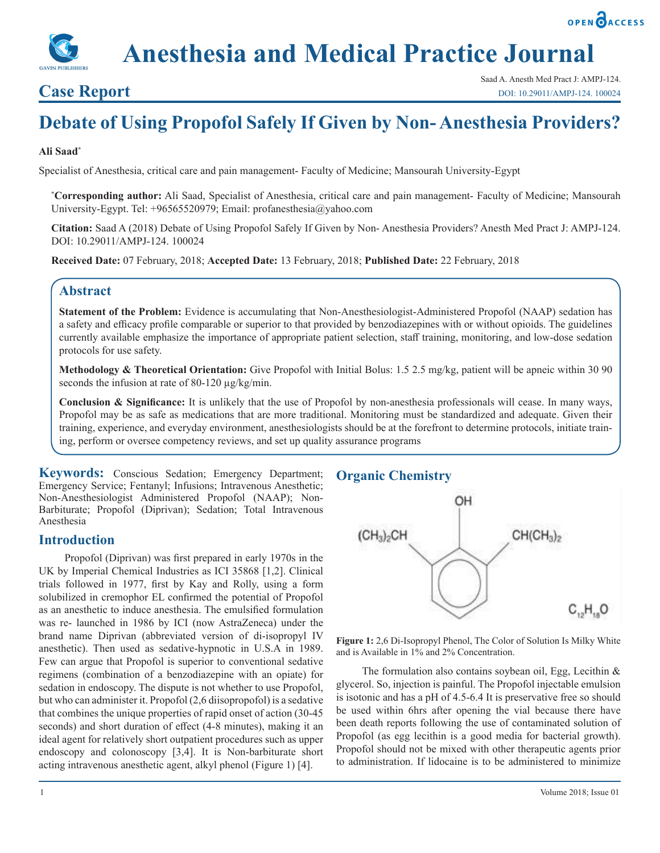

# **Case Report**

Saad A. Anesth Med Pract J: AMPJ-124. [DOI: 10.29011/AMPJ-124. 100024](http://doi.org/10.29011/AMPJ-124. 100024)

# **Debate of Using Propofol Safely If Given by Non- Anesthesia Providers?**

#### **Ali Saad\***

Specialist of Anesthesia, critical care and pain management- Faculty of Medicine; Mansourah University-Egypt

**\* Corresponding author:** Ali Saad, Specialist of Anesthesia, critical care and pain management- Faculty of Medicine; Mansourah University-Egypt. Tel: +96565520979; Email: profanesthesia@yahoo.com

**Citation:** Saad A (2018) Debate of Using Propofol Safely If Given by Non- Anesthesia Providers? Anesth Med Pract J: AMPJ-124. DOI: 10.29011/AMPJ-124. 100024

**Received Date:** 07 February, 2018; **Accepted Date:** 13 February, 2018; **Published Date:** 22 February, 2018

## **Abstract**

**Statement of the Problem:** Evidence is accumulating that Non-Anesthesiologist-Administered Propofol (NAAP) sedation has a safety and efficacy profile comparable or superior to that provided by benzodiazepines with or without opioids. The guidelines currently available emphasize the importance of appropriate patient selection, staff training, monitoring, and low-dose sedation protocols for use safety.

**Methodology & Theoretical Orientation:** Give Propofol with Initial Bolus: 1.5 2.5 mg/kg, patient will be apneic within 30 90 seconds the infusion at rate of 80-120  $\mu$ g/kg/min.

**Conclusion & Significance:** It is unlikely that the use of Propofol by non-anesthesia professionals will cease. In many ways, Propofol may be as safe as medications that are more traditional. Monitoring must be standardized and adequate. Given their training, experience, and everyday environment, anesthesiologists should be at the forefront to determine protocols, initiate training, perform or oversee competency reviews, and set up quality assurance programs

**Keywords:** Conscious Sedation; Emergency Department; Emergency Service; Fentanyl; Infusions; Intravenous Anesthetic; Non-Anesthesiologist Administered Propofol (NAAP); Non-Barbiturate; Propofol (Diprivan); Sedation; Total Intravenous Anesthesia

#### **Introduction**

Propofol (Diprivan) was first prepared in early 1970s in the UK by Imperial Chemical Industries as ICI 35868 [1,2]. Clinical trials followed in 1977, first by Kay and Rolly, using a form solubilized in cremophor EL confirmed the potential of Propofol as an anesthetic to induce anesthesia. The emulsified formulation was re- launched in 1986 by ICI (now AstraZeneca) under the brand name Diprivan (abbreviated version of di-isopropyl IV anesthetic). Then used as sedative-hypnotic in U.S.A in 1989. Few can argue that Propofol is superior to conventional sedative regimens (combination of a benzodiazepine with an opiate) for sedation in endoscopy. The dispute is not whether to use Propofol, but who can administer it. Propofol (2,6 diisopropofol) is a sedative that combines the unique properties of rapid onset of action (30-45 seconds) and short duration of effect (4-8 minutes), making it an ideal agent for relatively short outpatient procedures such as upper endoscopy and colonoscopy [3,4]. It is Non-barbiturate short acting intravenous anesthetic agent, alkyl phenol (Figure 1) [4].

#### **Organic Chemistry**



**Figure 1:** 2,6 Di-Isopropyl Phenol, The Color of Solution Is Milky White and is Available in 1% and 2% Concentration.

The formulation also contains soybean oil, Egg, Lecithin & glycerol. So, injection is painful. The Propofol injectable emulsion is isotonic and has a pH of 4.5-6.4 It is preservative free so should be used within 6hrs after opening the vial because there have been death reports following the use of contaminated solution of Propofol (as egg lecithin is a good media for bacterial growth). Propofol should not be mixed with other therapeutic agents prior to administration. If lidocaine is to be administered to minimize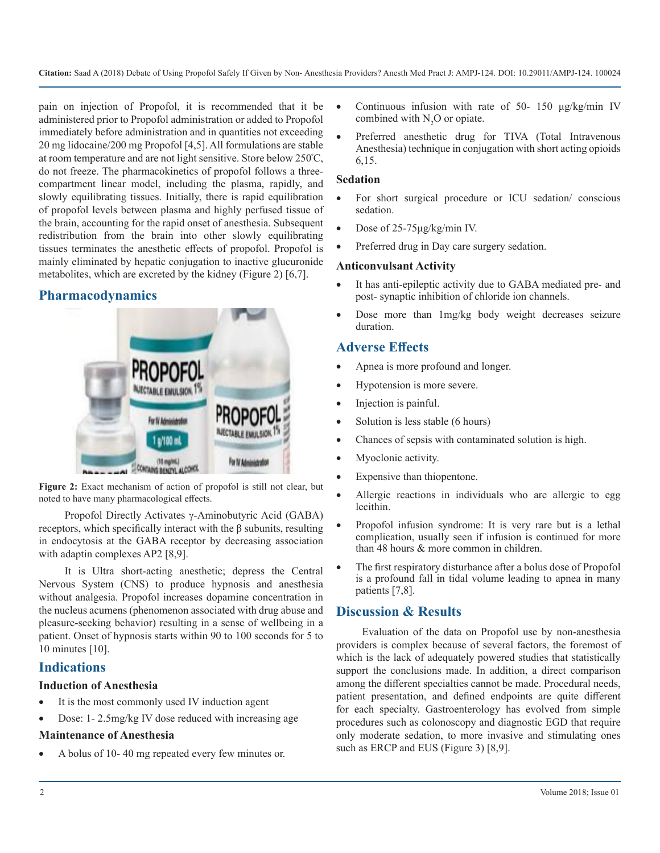pain on injection of Propofol, it is recommended that it be administered prior to Propofol administration or added to Propofol immediately before administration and in quantities not exceeding 20 mg lidocaine/200 mg Propofol [4,5]. All formulations are stable at room temperature and are not light sensitive. Store below 250<sup>º</sup> C, do not freeze. The pharmacokinetics of propofol follows a threecompartment linear model, including the plasma, rapidly, and slowly equilibrating tissues. Initially, there is rapid equilibration of propofol levels between plasma and highly perfused tissue of the brain, accounting for the rapid onset of anesthesia. Subsequent redistribution from the brain into other slowly equilibrating tissues terminates the anesthetic effects of propofol. Propofol is mainly eliminated by hepatic conjugation to inactive glucuronide metabolites, which are excreted by the kidney (Figure 2) [6,7].

# **Pharmacodynamics**



**Figure 2:** Exact mechanism of action of propofol is still not clear, but noted to have many pharmacological effects.

Propofol Directly Activates γ-Aminobutyric Acid (GABA) receptors, which specifically interact with the β subunits, resulting in endocytosis at the GABA receptor by decreasing association with adaptin complexes AP2 [8,9].

It is Ultra short-acting anesthetic; depress the Central Nervous System (CNS) to produce hypnosis and anesthesia without analgesia. Propofol increases dopamine concentration in the nucleus acumens (phenomenon associated with drug abuse and pleasure-seeking behavior) resulting in a sense of wellbeing in a patient. Onset of hypnosis starts within 90 to 100 seconds for 5 to 10 minutes [10].

## **Indications**

#### **Induction of Anesthesia**

- It is the most commonly used IV induction agent
- Dose: 1- 2.5mg/kg IV dose reduced with increasing age

#### **Maintenance of Anesthesia**

A bolus of 10-40 mg repeated every few minutes or.

- Continuous infusion with rate of 50- 150  $\mu$ g/kg/min IV combined with  $N_2O$  or opiate.
- Preferred anesthetic drug for TIVA (Total Intravenous Anesthesia) technique in conjugation with short acting opioids 6,15.

#### **Sedation**

- For short surgical procedure or ICU sedation/ conscious sedation.
- Dose of 25-75μg/kg/min IV.
- Preferred drug in Day care surgery sedation.

#### **Anticonvulsant Activity**

- It has anti-epileptic activity due to GABA mediated pre- and post- synaptic inhibition of chloride ion channels.
- Dose more than 1mg/kg body weight decreases seizure duration.

# **Adverse Effects**

- Apnea is more profound and longer.
- Hypotension is more severe.
- Injection is painful.
- Solution is less stable (6 hours)
- Chances of sepsis with contaminated solution is high.
- Myoclonic activity.
- Expensive than thiopentone.
- Allergic reactions in individuals who are allergic to egg lecithin.
- Propofol infusion syndrome: It is very rare but is a lethal complication, usually seen if infusion is continued for more than 48 hours & more common in children.
- The first respiratory disturbance after a bolus dose of Propofol is a profound fall in tidal volume leading to apnea in many patients [7,8].

# **Discussion & Results**

Evaluation of the data on Propofol use by non-anesthesia providers is complex because of several factors, the foremost of which is the lack of adequately powered studies that statistically support the conclusions made. In addition, a direct comparison among the different specialties cannot be made. Procedural needs, patient presentation, and defined endpoints are quite different for each specialty. Gastroenterology has evolved from simple procedures such as colonoscopy and diagnostic EGD that require only moderate sedation, to more invasive and stimulating ones such as ERCP and EUS (Figure 3) [8,9].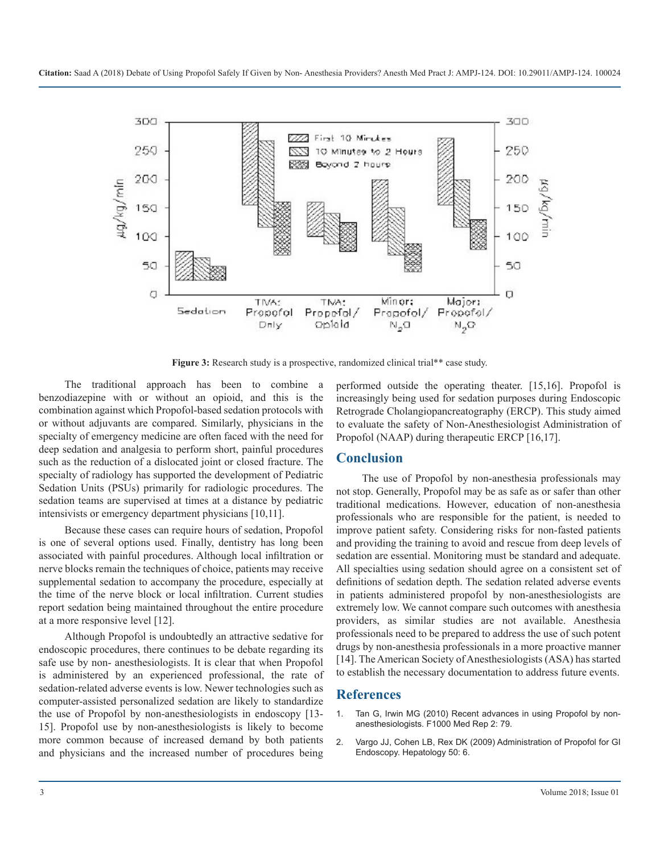

**Figure 3:** Research study is a prospective, randomized clinical trial\*\* case study.

The traditional approach has been to combine a benzodiazepine with or without an opioid, and this is the combination against which Propofol-based sedation protocols with or without adjuvants are compared. Similarly, physicians in the specialty of emergency medicine are often faced with the need for deep sedation and analgesia to perform short, painful procedures such as the reduction of a dislocated joint or closed fracture. The specialty of radiology has supported the development of Pediatric Sedation Units (PSUs) primarily for radiologic procedures. The sedation teams are supervised at times at a distance by pediatric intensivists or emergency department physicians [10,11].

Because these cases can require hours of sedation, Propofol is one of several options used. Finally, dentistry has long been associated with painful procedures. Although local infiltration or nerve blocks remain the techniques of choice, patients may receive supplemental sedation to accompany the procedure, especially at the time of the nerve block or local infiltration. Current studies report sedation being maintained throughout the entire procedure at a more responsive level [12].

Although Propofol is undoubtedly an attractive sedative for endoscopic procedures, there continues to be debate regarding its safe use by non- anesthesiologists. It is clear that when Propofol is administered by an experienced professional, the rate of sedation-related adverse events is low. Newer technologies such as computer-assisted personalized sedation are likely to standardize the use of Propofol by non-anesthesiologists in endoscopy [13- 15]. Propofol use by non-anesthesiologists is likely to become more common because of increased demand by both patients and physicians and the increased number of procedures being

performed outside the operating theater. [15,16]. Propofol is increasingly being used for sedation purposes during Endoscopic Retrograde Cholangiopancreatography (ERCP). This study aimed to evaluate the safety of Non-Anesthesiologist Administration of Propofol (NAAP) during therapeutic ERCP [16,17].

#### **Conclusion**

The use of Propofol by non-anesthesia professionals may not stop. Generally, Propofol may be as safe as or safer than other traditional medications. However, education of non-anesthesia professionals who are responsible for the patient, is needed to improve patient safety. Considering risks for non-fasted patients and providing the training to avoid and rescue from deep levels of sedation are essential. Monitoring must be standard and adequate. All specialties using sedation should agree on a consistent set of definitions of sedation depth. The sedation related adverse events in patients administered propofol by non-anesthesiologists are extremely low. We cannot compare such outcomes with anesthesia providers, as similar studies are not available. Anesthesia professionals need to be prepared to address the use of such potent drugs by non-anesthesia professionals in a more proactive manner [14]. The American Society of Anesthesiologists (ASA) has started to establish the necessary documentation to address future events.

#### **References**

- 1. Tan G, Irwin MG (2010) Recent advances in using Propofol by nonanesthesiologists. F1000 Med Rep 2: 79.
- 2. Vargo JJ, Cohen LB, Rex DK (2009) Administration of Propofol for GI Endoscopy. Hepatology 50: 6.